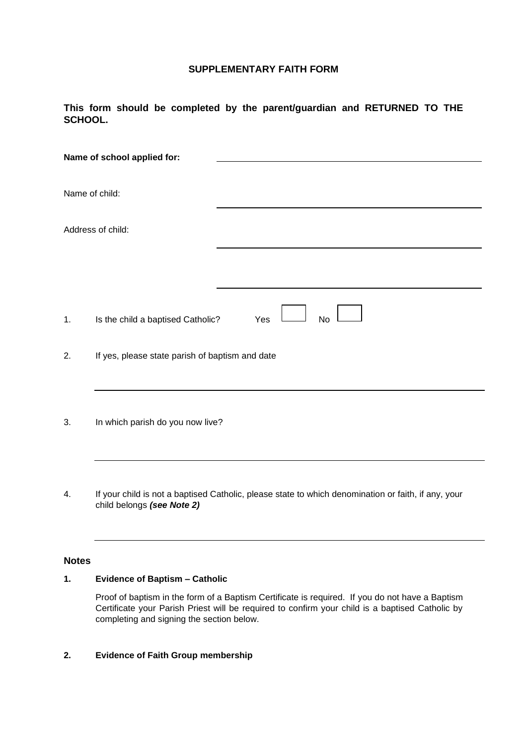## **SUPPLEMENTARY FAITH FORM**

## **This form should be completed by the parent/guardian and RETURNED TO THE SCHOOL.**

|    | Name of school applied for:                     |                                                                                                     |
|----|-------------------------------------------------|-----------------------------------------------------------------------------------------------------|
|    | Name of child:                                  |                                                                                                     |
|    | Address of child:                               |                                                                                                     |
|    |                                                 |                                                                                                     |
| 1. | Is the child a baptised Catholic?               | <b>No</b><br>Yes                                                                                    |
| 2. | If yes, please state parish of baptism and date |                                                                                                     |
| 3. | In which parish do you now live?                |                                                                                                     |
| 4. | child belongs (see Note 2)                      | If your child is not a baptised Catholic, please state to which denomination or faith, if any, your |

# **Notes**

# **1. Evidence of Baptism – Catholic**

Proof of baptism in the form of a Baptism Certificate is required. If you do not have a Baptism Certificate your Parish Priest will be required to confirm your child is a baptised Catholic by completing and signing the section below.

## **2. Evidence of Faith Group membership**